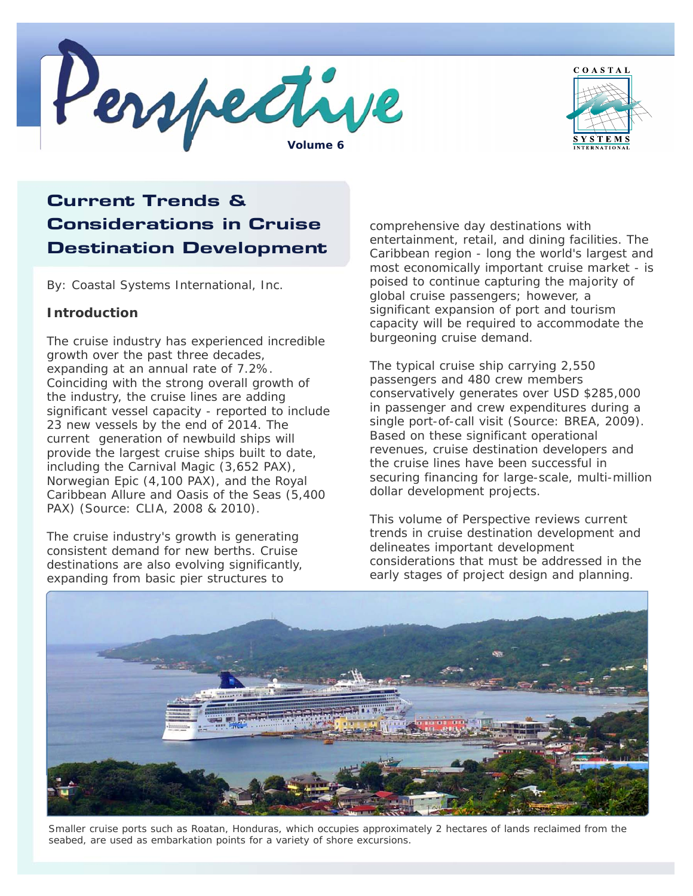Perspective



# Current Trends & Considerations in Cruise Destination Development

By: Coastal Systems International, Inc.

# **Introduction**

The cruise industry has experienced incredible growth over the past three decades, expanding at an annual rate of 7.2%. Coinciding with the strong overall growth of the industry, the cruise lines are adding significant vessel capacity - reported to include 23 new vessels by the end of 2014. The current generation of newbuild ships will provide the largest cruise ships built to date, including the Carnival *Magic* (3,652 PAX), Norwegian *Epic* (4,100 PAX), and the Royal Caribbean *Allure* and *Oasis of the Seas* (5,400 PAX) (Source: CLIA, 2008 & 2010).

The cruise industry's growth is generating consistent demand for new berths. Cruise destinations are also evolving significantly, expanding from basic pier structures to

comprehensive day destinations with entertainment, retail, and dining facilities. The Caribbean region - long the world's largest and most economically important cruise market - is poised to continue capturing the majority of global cruise passengers; however, a significant expansion of port and tourism capacity will be required to accommodate the burgeoning cruise demand.

The typical cruise ship carrying 2,550 passengers and 480 crew members conservatively generates over USD \$285,000 in passenger and crew expenditures during a single port-of-call visit (Source: BREA, 2009). Based on these significant operational revenues, cruise destination developers and the cruise lines have been successful in securing financing for large-scale, multi-million dollar development projects.

This volume of *Perspective* reviews current trends in cruise destination development and delineates important development considerations that must be addressed in the early stages of project design and planning.



Smaller cruise ports such as Roatan, Honduras, which occupies approximately 2 hectares of lands reclaimed from the seabed, are used as embarkation points for a variety of shore excursions.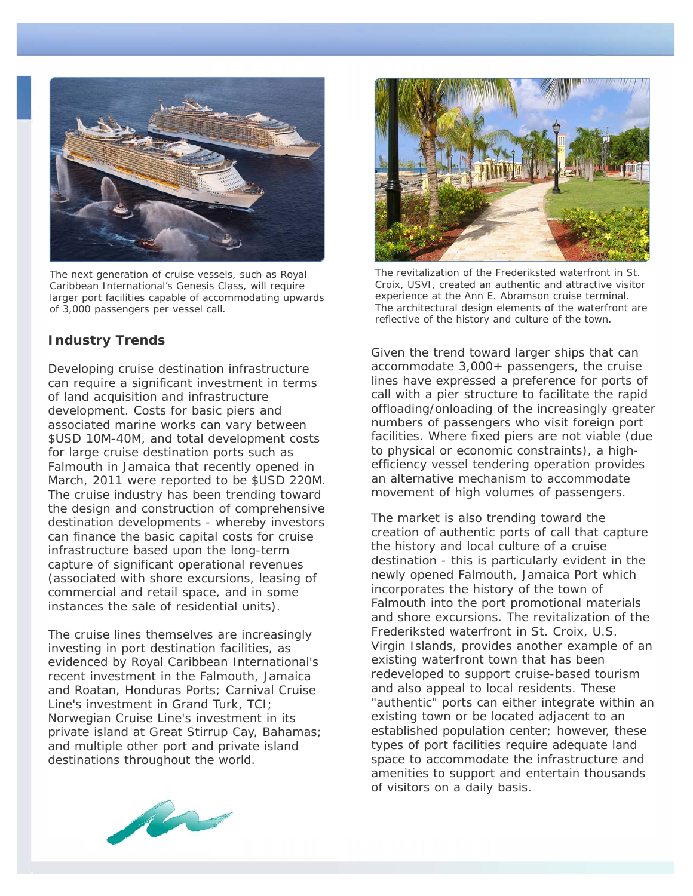

The next generation of cruise vessels, such as Royal Caribbean International's Genesis Class, will require larger port facilities capable of accommodating upwards of 3,000 passengers per vessel call.

# **Industry Trends**

Developing cruise destination infrastructure can require a significant investment in terms of land acquisition and infrastructure development. Costs for basic piers and associated marine works can vary between \$USD 10M-40M, and total development costs for large cruise destination ports such as Falmouth in Jamaica that recently opened in March, 2011 were reported to be \$USD 220M. The cruise industry has been trending toward the design and construction of comprehensive destination developments - whereby investors can finance the basic capital costs for cruise infrastructure based upon the long-term capture of significant operational revenues (associated with shore excursions, leasing of commercial and retail space, and in some instances the sale of residential units).

The cruise lines themselves are increasingly investing in port destination facilities, as evidenced by Royal Caribbean International's recent investment in the Falmouth, Jamaica and Roatan, Honduras Ports; Carnival Cruise Line's investment in Grand Turk, TCI; Norwegian Cruise Line's investment in its private island at Great Stirrup Cay, Bahamas; and multiple other port and private island destinations throughout the world.



The revitalization of the Frederiksted waterfront in St. Croix, USVI, created an authentic and attractive visitor experience at the Ann E. Abramson cruise terminal. The architectural design elements of the waterfront are reflective of the history and culture of the town.

Given the trend toward larger ships that can accommodate 3,000+ passengers, the cruise lines have expressed a preference for ports of call with a pier structure to facilitate the rapid offloading/onloading of the increasingly greater numbers of passengers who visit foreign port facilities. Where fixed piers are not viable (due to physical or economic constraints), a highefficiency vessel tendering operation provides an alternative mechanism to accommodate movement of high volumes of passengers.

The market is also trending toward the creation of authentic ports of call that capture the history and local culture of a cruise destination - this is particularly evident in the newly opened Falmouth, Jamaica Port which incorporates the history of the town of Falmouth into the port promotional materials and shore excursions. The revitalization of the Frederiksted waterfront in St. Croix, U.S. Virgin Islands, provides another example of an existing waterfront town that has been redeveloped to support cruise-based tourism and also appeal to local residents. These "authentic" ports can either integrate within an existing town or be located adjacent to an established population center; however, these types of port facilities require adequate land space to accommodate the infrastructure and amenities to support and entertain thousands of visitors on a daily basis.

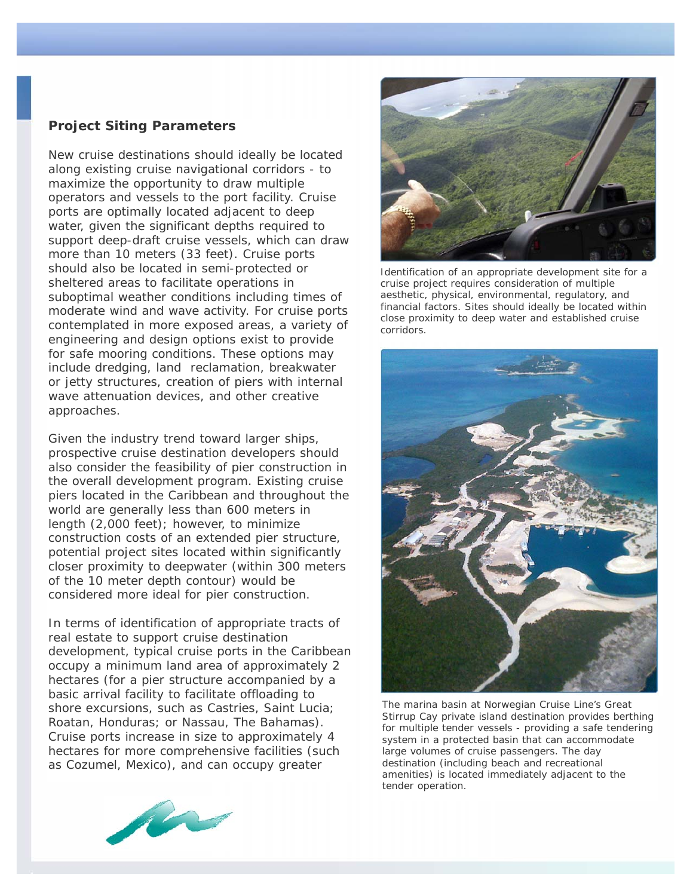## **Project Siting Parameters**

New cruise destinations should ideally be located along existing cruise navigational corridors - to maximize the opportunity to draw multiple operators and vessels to the port facility. Cruise ports are optimally located adjacent to deep water, given the significant depths required to support deep-draft cruise vessels, which can draw more than 10 meters (33 feet). Cruise ports should also be located in semi-protected or sheltered areas to facilitate operations in suboptimal weather conditions including times of moderate wind and wave activity. For cruise ports contemplated in more exposed areas, a variety of engineering and design options exist to provide for safe mooring conditions. These options may include dredging, land reclamation, breakwater or jetty structures, creation of piers with internal wave attenuation devices, and other creative approaches.

Given the industry trend toward larger ships, prospective cruise destination developers should also consider the feasibility of pier construction in the overall development program. Existing cruise piers located in the Caribbean and throughout the world are generally less than 600 meters in length (2,000 feet); however, to minimize construction costs of an extended pier structure, potential project sites located within significantly closer proximity to deepwater (within 300 meters of the 10 meter depth contour) would be considered more ideal for pier construction.

In terms of identification of appropriate tracts of real estate to support cruise destination development, typical cruise ports in the Caribbean occupy a minimum land area of approximately 2 hectares (for a pier structure accompanied by a basic arrival facility to facilitate offloading to shore excursions, such as Castries, Saint Lucia; Roatan, Honduras; or Nassau, The Bahamas). Cruise ports increase in size to approximately 4 hectares for more comprehensive facilities (such as Cozumel, Mexico), and can occupy greater



Identification of an appropriate development site for a cruise project requires consideration of multiple aesthetic, physical, environmental, regulatory, and financial factors. Sites should ideally be located within close proximity to deep water and established cruise corridors.



The marina basin at Norwegian Cruise Line's Great Stirrup Cay private island destination provides berthing for multiple tender vessels - providing a safe tendering system in a protected basin that can accommodate large volumes of cruise passengers. The day destination (including beach and recreational amenities) is located immediately adjacent to the tender operation.

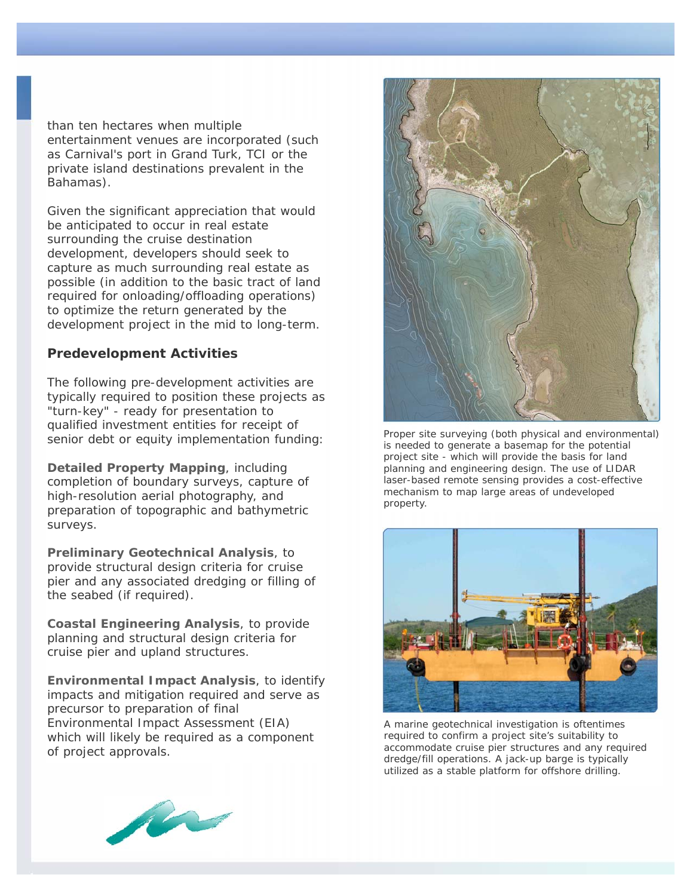than ten hectares when multiple entertainment venues are incorporated (such as Carnival's port in Grand Turk, TCI or the private island destinations prevalent in the Bahamas).

Given the significant appreciation that would be anticipated to occur in real estate surrounding the cruise destination development, developers should seek to capture as much surrounding real estate as possible (in addition to the basic tract of land required for onloading/offloading operations) to optimize the return generated by the development project in the mid to long-term.

### **Predevelopment Activities**

The following pre-development activities are typically required to position these projects as "turn-key" - ready for presentation to qualified investment entities for receipt of senior debt or equity implementation funding:

**Detailed Property Mapping**, including completion of boundary surveys, capture of high-resolution aerial photography, and preparation of topographic and bathymetric surveys.

**Preliminary Geotechnical Analysis**, to provide structural design criteria for cruise pier and any associated dredging or filling of the seabed (if required).

**Coastal Engineering Analysis**, to provide planning and structural design criteria for cruise pier and upland structures.

**Environmental Impact Analysis**, to identify impacts and mitigation required and serve as precursor to preparation of final Environmental Impact Assessment (EIA) which will likely be required as a component of project approvals.



Proper site surveying (both physical and environmental) is needed to generate a basemap for the potential project site - which will provide the basis for land planning and engineering design. The use of LIDAR laser-based remote sensing provides a cost-effective mechanism to map large areas of undeveloped property.



A marine geotechnical investigation is oftentimes required to confirm a project site's suitability to accommodate cruise pier structures and any required dredge/fill operations. A jack-up barge is typically utilized as a stable platform for offshore drilling.